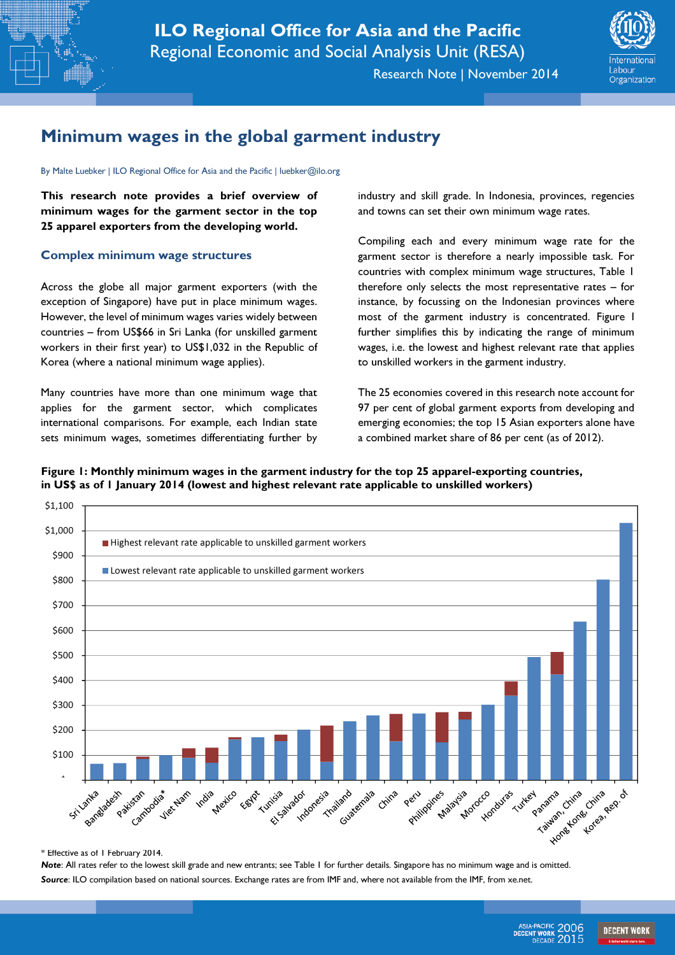Research Note | November 2014



## Minimum wages in the global garment industry

By Malte Luebker | ILO Regional Office for Asia and the Pacific | luebker@ilo.org

This research note provides a brief overview of minimum wages for the garment sector in the top 25 apparel exporters from the developing world.

## Complex minimum wage structures

Across the globe all major garment exporters (with the exception of Singapore) have put in place minimum wages. However, the level of minimum wages varies widely between countries – from US\$66 in Sri Lanka (for unskilled garment workers in their first year) to US\$1,032 in the Republic of Korea (where a national minimum wage applies).

Many countries have more than one minimum wage that applies for the garment sector, which complicates international comparisons. For example, each Indian state sets minimum wages, sometimes differentiating further by industry and skill grade. In Indonesia, provinces, regencies and towns can set their own minimum wage rates.

Compiling each and every minimum wage rate for the garment sector is therefore a nearly impossible task. For countries with complex minimum wage structures, Table 1 therefore only selects the most representative rates – for instance, by focussing on the Indonesian provinces where most of the garment industry is concentrated. Figure I further simplifies this by indicating the range of minimum wages, i.e. the lowest and highest relevant rate that applies to unskilled workers in the garment industry.

The 25 economies covered in this research note account for 97 per cent of global garment exports from developing and emerging economies; the top 15 Asian exporters alone have a combined market share of 86 per cent (as of 2012).

## Figure 1: Monthly minimum wages in the garment industry for the top 25 apparel-exporting countries, in US\$ as of 1 January 2014 (lowest and highest relevant rate applicable to unskilled workers)



<sup>\*</sup> Effective as of 1 February 2014.

Note: All rates refer to the lowest skill grade and new entrants; see Table I for further details. Singapore has no minimum wage and is omitted. Source: ILO compilation based on national sources. Exchange rates are from IMF and, where not available from the IMF, from xe.net.

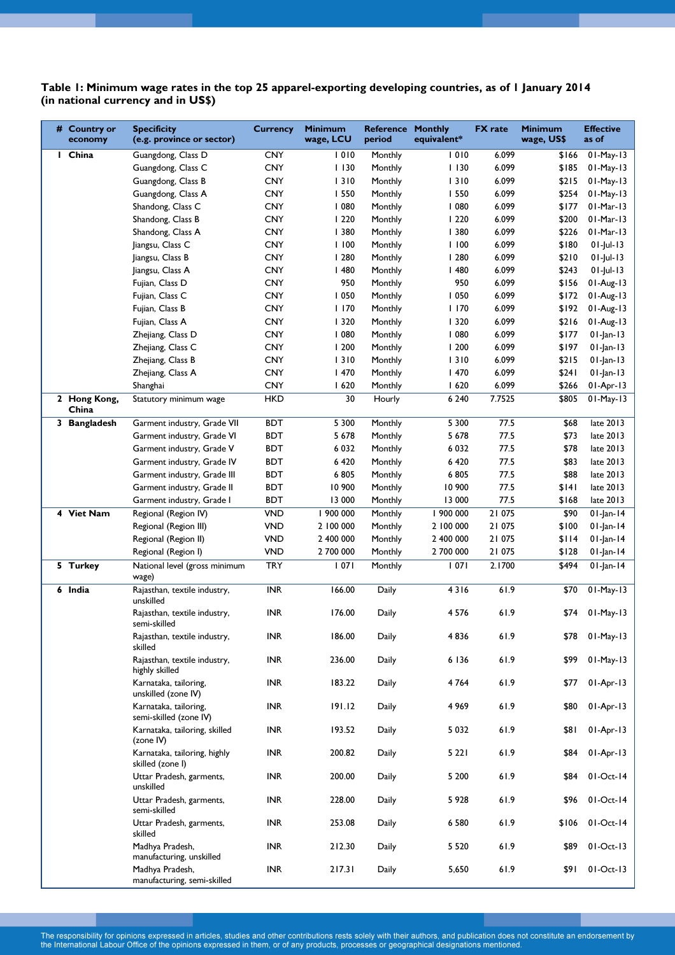Table 1: Minimum wage rates in the top 25 apparel-exporting developing countries, as of 1 January 2014 (in national currency and in US\$)

| # Country or<br>economy | <b>Specificity</b><br>(e.g. province or sector)  | <b>Currency</b>          | <b>Minimum</b><br>wage, LCU | <b>Reference</b><br>period | <b>Monthly</b><br>equivalent* | <b>FX</b> rate | <b>Minimum</b><br>wage, US\$ | <b>Effective</b><br>as of   |
|-------------------------|--------------------------------------------------|--------------------------|-----------------------------|----------------------------|-------------------------------|----------------|------------------------------|-----------------------------|
| I China                 | Guangdong, Class D                               | <b>CNY</b>               | 1010                        | <b>Monthly</b>             | 1010                          | 6.099          | \$166                        | 01-May-13                   |
|                         | Guangdong, Class C                               | <b>CNY</b>               | 1130                        | <b>Monthly</b>             | 1130                          | 6.099          | \$185                        | $01-May-13$                 |
|                         | Guangdong, Class B                               | <b>CNY</b>               | 1310                        | <b>Monthly</b>             | 1310                          | 6.099          | \$215                        | 01-May-13                   |
|                         | Guangdong, Class A                               | <b>CNY</b>               | 1550                        | Monthly                    | <b>1550</b>                   | 6.099          | \$254                        | 01-May-13                   |
|                         | Shandong, Class C                                | <b>CNY</b>               | 1080                        | Monthly                    | 1080                          | 6.099          | \$177                        | $01-Mar-13$                 |
|                         | Shandong, Class B                                | <b>CNY</b>               | 1220                        | Monthly                    | 1220                          | 6.099          | \$200                        | $01-Mar-13$                 |
|                         | Shandong, Class A                                | <b>CNY</b>               | 380                         | <b>Monthly</b>             | 380                           | 6.099          | \$226                        | $01-Mar-13$                 |
|                         | Jiangsu, Class C                                 | <b>CNY</b>               | 1100                        | Monthly                    | 1100                          | 6.099          | \$180                        | $01$ -Jul-13                |
|                         | Jiangsu, Class B                                 | <b>CNY</b><br><b>CNY</b> | 1280<br>1480                | Monthly<br>Monthly         | 1280<br>1480                  | 6.099<br>6.099 | \$210<br>\$243               | $01$ -Jul-13                |
|                         | Jiangsu, Class A<br>Fujian, Class D              | <b>CNY</b>               | 950                         | <b>Monthly</b>             | 950                           | 6.099          | \$156                        | $01$ -Jul-13<br>$01-Aug-13$ |
|                         | Fujian, Class C                                  | <b>CNY</b>               | 1050                        | Monthly                    | 1050                          | 6.099          | \$172                        | $01-Aug-13$                 |
|                         | Fujian, Class B                                  | <b>CNY</b>               | 1170                        | Monthly                    | 1170                          | 6.099          | \$192                        | $01-Aug-13$                 |
|                         | Fujian, Class A                                  | <b>CNY</b>               | 1320                        | Monthly                    | 320                           | 6.099          | \$216                        | $01-Aug-13$                 |
|                         | Zhejiang, Class D                                | <b>CNY</b>               | 1080                        | Monthly                    | 1080                          | 6.099          | \$177                        | $01$ -Jan-13                |
|                         | Zhejiang, Class C                                | <b>CNY</b>               | 1200                        | Monthly                    | 1200                          | 6.099          | \$197                        | $01$ -Jan-13                |
|                         | Zhejiang, Class B                                | <b>CNY</b>               | 1310                        | Monthly                    | 1310                          | 6.099          | \$215                        | $01$ -Jan-13                |
|                         | Zhejiang, Class A                                | <b>CNY</b>               | 1470                        | Monthly                    | 1470                          | 6.099          | \$241                        | $01$ -Jan-13                |
|                         | Shanghai                                         | <b>CNY</b>               | 1620                        | Monthly                    | 1620                          | 6.099          | \$266                        | $01-Apr-13$                 |
| 2 Hong Kong,<br>China   | Statutory minimum wage                           | <b>HKD</b>               | 30                          | Hourly                     | 6 2 4 0                       | 7.7525         | \$805                        | 01-May-13                   |
| 3 Bangladesh            | Garment industry, Grade VII                      | <b>BDT</b>               | 5 300                       | Monthly                    | 5 3 0 0                       | 77.5           | \$68                         | late 2013                   |
|                         | Garment industry, Grade VI                       | <b>BDT</b>               | 5 6 7 8                     | <b>Monthly</b>             | 5 6 7 8                       | 77.5           | \$73                         | late 2013                   |
|                         | Garment industry, Grade V                        | <b>BDT</b>               | 6 0 3 2                     | Monthly                    | 6 0 3 2                       | 77.5           | \$78                         | late 2013                   |
|                         | Garment industry, Grade IV                       | <b>BDT</b>               | 6 4 20                      | Monthly                    | 6 4 20                        | 77.5           | \$83                         | late 2013                   |
|                         | Garment industry, Grade III                      | <b>BDT</b>               | 6805                        | Monthly                    | 6805                          | 77.5           | \$88                         | late 2013                   |
|                         | Garment industry, Grade II                       | <b>BDT</b>               | 10 900                      | Monthly                    | 10 900                        | 77.5           | \$141                        | late 2013                   |
|                         | Garment industry, Grade I                        | <b>BDT</b>               | 13 000                      | Monthly                    | 13 000                        | 77.5           | \$168                        | late 2013                   |
| 4 Viet Nam              | Regional (Region IV)                             | <b>VND</b>               | 1 900 000                   | Monthly                    | 1 900 000                     | 21 075         | \$90                         | $01$ -Jan- $\overline{14}$  |
|                         | Regional (Region III)                            | <b>VND</b>               | 2 100 000                   | Monthly                    | 2 100 000                     | 21 075         | \$100                        | $01$ -Jan-14                |
|                         | Regional (Region II)                             | <b>VND</b>               | 2 400 000                   | Monthly                    | 2 400 000                     | 21 075         | \$114                        | $01$ -Jan-14                |
|                         | Regional (Region I)                              | <b>VND</b>               | 2 700 000                   | Monthly                    | 2 700 000                     | 21 075         | \$128                        | $01$ -Jan-14                |
| 5 Turkey                | National level (gross minimum<br>wage)           | <b>TRY</b>               | 1071                        | <b>Monthly</b>             | 1071                          | 2.1700         | \$494                        | $01$ -Jan-14                |
| 6 India                 | Rajasthan, textile industry,<br>unskilled        | <b>INR</b>               | 166.00                      | Daily                      | 4316                          | 61.9           | \$70                         | 01-May-13                   |
|                         | Rajasthan, textile industry,<br>semi-skilled     | <b>INR</b>               | 176.00                      | Daily                      | 4576                          | 61.9           | \$74                         | 01-May-13                   |
|                         | Rajasthan, textile industry,<br>skilled          | <b>INR</b>               | 186.00                      | Daily                      | 4836                          | 61.9           | \$78                         | 01-May-13                   |
|                         | Rajasthan, textile industry,<br>highly skilled   | <b>INR</b>               | 236.00                      | Daily                      | 6 1 3 6                       | 61.9           | \$99                         | 01-May-13                   |
|                         | Karnataka, tailoring,<br>unskilled (zone IV)     | <b>INR</b>               | 183.22                      | Daily                      | 4764                          | 61.9           | \$77                         | $01-Apr-13$                 |
|                         | Karnataka, tailoring,<br>semi-skilled (zone IV)  | <b>INR</b>               | 191.12                      | Daily                      | 4969                          | 61.9           | \$80                         | $01-Apr-13$                 |
|                         | Karnataka, tailoring, skilled<br>(zone IV)       | <b>INR</b>               | 193.52                      | Daily                      | 5 0 3 2                       | 61.9           | \$81                         | $01-Apr-13$                 |
|                         | Karnataka, tailoring, highly<br>skilled (zone I) | <b>INR</b>               | 200.82                      | Daily                      | 5 2 2 1                       | 61.9           | \$84                         | $01-Apr-13$                 |
|                         | Uttar Pradesh, garments,<br>unskilled            | <b>INR</b>               | 200.00                      | Daily                      | 5 2 0 0                       | 61.9           | \$84                         | $01-Oct-14$                 |
|                         | Uttar Pradesh, garments,<br>semi-skilled         | <b>INR</b>               | 228.00                      | Daily                      | 5928                          | 61.9           | \$96                         | $01-Oct-14$                 |
|                         | Uttar Pradesh, garments,<br>skilled              | <b>INR</b>               | 253.08                      | Daily                      | 6580                          | 61.9           | \$106                        | $01-Oct-14$                 |
|                         | Madhya Pradesh,<br>manufacturing, unskilled      | <b>INR</b>               | 212.30                      | Daily                      | 5 5 2 0                       | 61.9           | \$89                         | $01-Oct-13$                 |
|                         | Madhya Pradesh,<br>manufacturing, semi-skilled   | <b>INR</b>               | 217.31                      | Daily                      | 5,650                         | 61.9           | \$91                         | $01-Oct-13$                 |

The responsibility for opinions expressed in articles, studies and other contributions rests solely with their authors, and publication does not constitute an endorsement by the International Labour Office of the opinions expressed in them, or of any products, processes or geographical designations mentioned.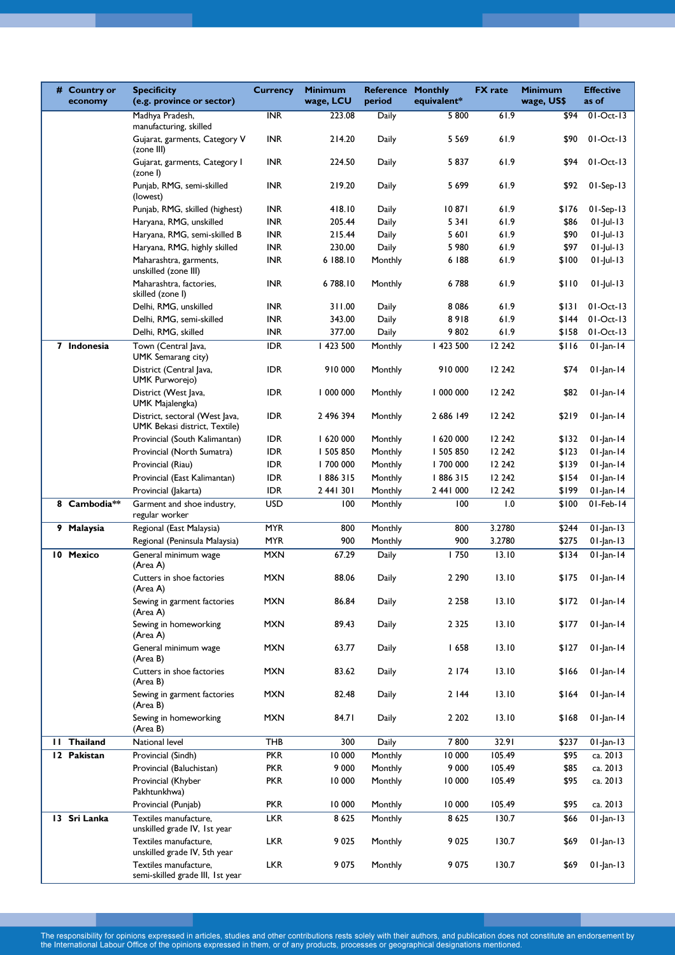| # Country or<br>economy | <b>Specificity</b><br>(e.g. province or sector)                 | <b>Currency</b>          | <b>Minimum</b><br>wage, LCU | <b>Reference</b><br>period | <b>Monthly</b><br>equivalent* | <b>FX</b> rate   | <b>Minimum</b><br>wage, US\$ | <b>Effective</b><br>as of    |
|-------------------------|-----------------------------------------------------------------|--------------------------|-----------------------------|----------------------------|-------------------------------|------------------|------------------------------|------------------------------|
|                         | Madhya Pradesh,<br>manufacturing, skilled                       | <b>INR</b>               | 223.08                      | <b>Daily</b>               | 5 800                         | 61.9             | $\overline{\$94}$            | $01-Oct-13$                  |
|                         | Gujarat, garments, Category V<br>(zone III)                     | <b>INR</b>               | 214.20                      | Daily                      | 5 5 6 9                       | 61.9             | \$90                         | $01-Oct-13$                  |
|                         | Gujarat, garments, Category I<br>(zone I)                       | <b>INR</b>               | 224.50                      | Daily                      | 5837                          | 61.9             | \$94                         | $01-Oct-13$                  |
|                         | Punjab, RMG, semi-skilled<br>(lowest)                           | <b>INR</b>               | 219.20                      | Daily                      | 5699                          | 61.9             | \$92                         | $01-Sep-13$                  |
|                         | Punjab, RMG, skilled (highest)                                  | <b>INR</b>               | 418.10                      | Daily                      | 10 871                        | 61.9             | \$176                        | $01-Sep-13$                  |
|                         | Haryana, RMG, unskilled                                         | <b>INR</b>               | 205.44                      | Daily                      | 5341                          | 61.9             | \$86                         | $01$ -Jul-13                 |
|                         | Haryana, RMG, semi-skilled B                                    | <b>INR</b>               | 215.44                      | Daily                      | 5 60 1                        | 61.9             | \$90                         | $01$ -Jul-13                 |
|                         | Haryana, RMG, highly skilled                                    | <b>INR</b>               | 230.00                      | Daily                      | 5 9 8 0                       | 61.9             | \$97                         | $01$ -Jul-13                 |
|                         | Maharashtra, garments,<br>unskilled (zone III)                  | <b>INR</b>               | 6 188.10                    | Monthly                    | 6 188                         | 61.9             | \$100                        | $01$ -Jul-13                 |
|                         | Maharashtra, factories,<br>skilled (zone I)                     | <b>INR</b>               | 6 788.10                    | Monthly                    | 6788                          | 61.9             | \$110                        | $01$ -Jul-13                 |
|                         | Delhi, RMG, unskilled                                           | <b>INR</b>               | 311.00                      | Daily                      | 8086                          | 61.9             | \$131                        | $01-Oct-13$                  |
|                         | Delhi, RMG, semi-skilled                                        | <b>INR</b>               | 343.00                      | Daily                      | 8918                          | 61.9             | \$144                        | $01-Oct-13$                  |
| 7 Indonesia             | Delhi, RMG, skilled                                             | <b>INR</b><br><b>IDR</b> | 377.00<br>  423 500         | Daily<br>Monthly           | 9802                          | 61.9             | \$158                        | $01-Oct-13$                  |
|                         | Town (Central Java,<br><b>UMK Semarang city)</b>                |                          |                             |                            | 423 500                       | 12 242           | \$116                        | $01$ -Jan-14                 |
|                         | District (Central Java,<br><b>UMK Purworejo)</b>                | <b>IDR</b>               | 910 000                     | Monthly                    | 910 000                       | 12 242           | \$74                         | $01$ -Jan-14                 |
|                         | District (West Java,<br>UMK Majalengka)                         | <b>IDR</b>               | 000 000                     | Monthly                    | 000 000                       | 12 242           | \$82                         | $01$ -Jan-14                 |
|                         | District, sectoral (West Java,<br>UMK Bekasi district, Textile) | <b>IDR</b>               | 2 496 394                   | Monthly                    | 2 686 149                     | 12 242           | \$219                        | $01$ -Jan-14                 |
|                         | Provincial (South Kalimantan)                                   | <b>IDR</b>               | 1620 000                    | <b>Monthly</b>             | 1620000                       | 12 242           | \$132                        | $01$ -Jan-14                 |
|                         | Provincial (North Sumatra)                                      | <b>IDR</b>               | 1 505 850                   | <b>Monthly</b>             | 1 505 850                     | 12 242<br>12 242 | \$123                        | $01$ -Jan-14                 |
|                         | Provincial (Riau)                                               | <b>IDR</b><br><b>IDR</b> | I 700 000<br>1886315        | Monthly<br>Monthly         | 700 000<br>1886315            | 12 242           | \$139<br>\$154               | $01$ -Jan-14                 |
|                         | Provincial (East Kalimantan)<br>Provincial (Jakarta)            | <b>IDR</b>               | 2 441 301                   | Monthly                    | 2 441 000                     | 12 242           | \$199                        | $01$ -Jan-14<br>$01$ -Jan-14 |
| 8 Cambodia**            | Garment and shoe industry,                                      | <b>USD</b>               | 100                         | <b>Monthly</b>             | 100                           | 1.0              | \$100                        | $01$ -Feb- $14$              |
|                         | regular worker                                                  |                          |                             |                            |                               | 3.2780           |                              |                              |
| 9 Malaysia              | Regional (East Malaysia)<br>Regional (Peninsula Malaysia)       | <b>MYR</b><br><b>MYR</b> | 800<br>900                  | Monthly<br>Monthly         | 800<br>900                    | 3.2780           | \$244<br>\$275               | $01$ -Jan-13<br>$01$ -Jan-13 |
| 10 Mexico               | General minimum wage                                            | <b>MXN</b>               | 67.29                       | Daily                      | I 750                         | 13.10            | \$134                        | $01$ -Jan-14                 |
|                         | (Area A)<br>Cutters in shoe factories                           | <b>MXN</b>               | 88.06                       | Daily                      | 2 2 9 0                       | 13.10            | \$175                        | $01$ -Jan-14                 |
|                         | (Area A)<br>Sewing in garment factories                         | <b>MXN</b>               | 86.84                       | Daily                      | 2 2 5 8                       | 13.10            | \$172                        | $01$ -Jan-14                 |
|                         | (Area A)                                                        | <b>MXN</b>               | 89.43                       |                            |                               | 13.10            |                              |                              |
|                         | Sewing in homeworking<br>(Area A)                               |                          |                             | Daily                      | 2 3 2 5                       |                  | \$177                        | $01$ -Jan-14                 |
|                         | General minimum wage<br>(Area B)                                | <b>MXN</b>               | 63.77                       | Daily                      | 1658                          | 13.10            | \$127                        | $01$ -Jan-14                 |
|                         | Cutters in shoe factories<br>(Area B)                           | <b>MXN</b>               | 83.62                       | Daily                      | 2 174                         | 13.10            | \$166                        | $01$ -Jan-14                 |
|                         | Sewing in garment factories<br>(Area B)                         | <b>MXN</b>               | 82.48                       | Daily                      | 2   44                        | 13.10            | \$164                        | $01$ -Jan-14                 |
|                         | Sewing in homeworking<br>(Area B)                               | <b>MXN</b>               | 84.71                       | Daily                      | 2 2 0 2                       | 13.10            | \$168                        | $01$ -Jan-14                 |
| <b>11 Thailand</b>      | National level                                                  | <b>THB</b>               | 300                         | Daily                      | 7800                          | 32.91            | \$237                        | $01$ -Jan-13                 |
| 12 Pakistan             | Provincial (Sindh)                                              | <b>PKR</b>               | 10 000                      | Monthly                    | 10 000                        | 105.49           | \$95                         | ca. 2013                     |
|                         | Provincial (Baluchistan)                                        | <b>PKR</b>               | 9 0 0 0                     | Monthly                    | 9 0 0 0                       | 105.49           | \$85                         | ca. 2013                     |
|                         | Provincial (Khyber<br>Pakhtunkhwa)                              | <b>PKR</b>               | 10 000                      | Monthly                    | 10 000                        | 105.49           | \$95                         | ca. 2013                     |
|                         | Provincial (Punjab)                                             | <b>PKR</b>               | 10 000                      | Monthly                    | 10 000                        | 105.49           | \$95                         | ca. 2013                     |
| 13 Sri Lanka            | Textiles manufacture,<br>unskilled grade IV, 1st year           | <b>LKR</b>               | 8 6 2 5                     | Monthly                    | 8 6 2 5                       | 130.7            | \$66                         | $01$ -Jan-13                 |
|                         | Textiles manufacture,<br>unskilled grade IV, 5th year           | <b>LKR</b>               | 9 0 25                      | Monthly                    | 9025                          | 130.7            | \$69                         | $01$ -Jan-13                 |
|                         | Textiles manufacture,<br>semi-skilled grade III, 1st year       | <b>LKR</b>               | 9 0 7 5                     | Monthly                    | 9075                          | 130.7            | \$69                         | $01$ -Jan-13                 |